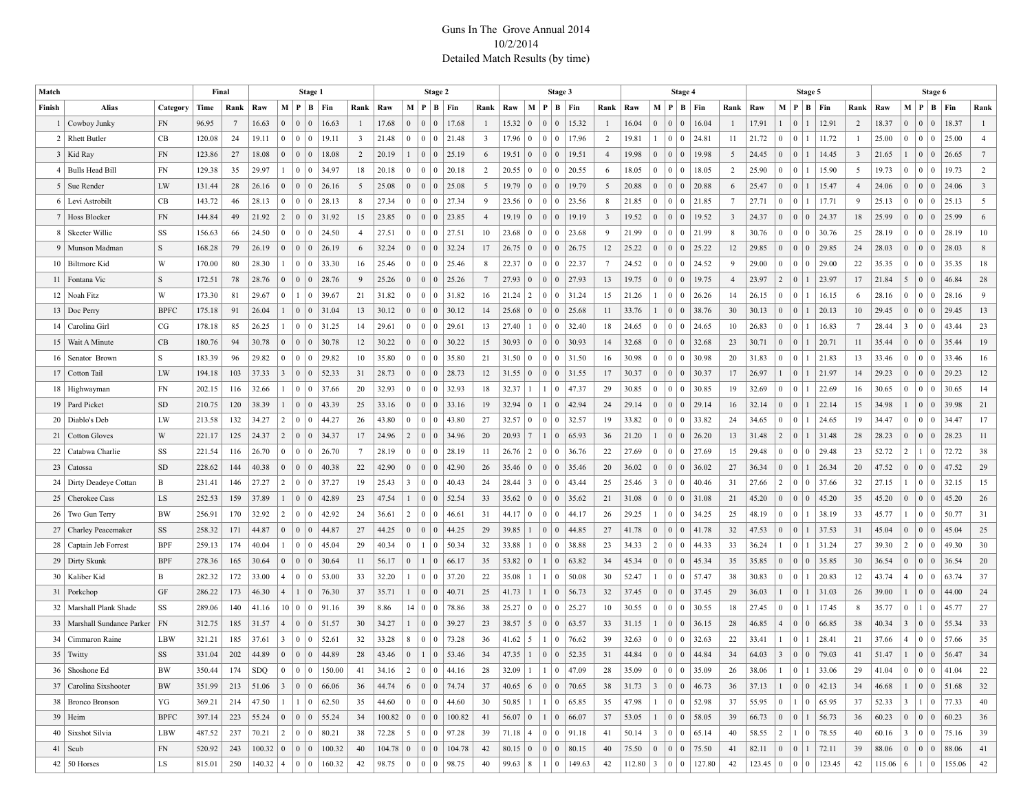## Guns In The Grove Annual 2014 10/2/2014 Detailed Match Results (by time)

| Match  |                               |             | Final  |      | Stage 1             |                |                                        |                                 | Stage 2                                   |                         |       |                 |                 |                               |  | Stage 3        |             |                 |                                    |                                                                           |                         | Stage 4 |                 |                        |                              |                         | Stage 5                                                                                |                |              |                              |                 |       | Stage 6 |                |                                           |                              |                         |
|--------|-------------------------------|-------------|--------|------|---------------------|----------------|----------------------------------------|---------------------------------|-------------------------------------------|-------------------------|-------|-----------------|-----------------|-------------------------------|--|----------------|-------------|-----------------|------------------------------------|---------------------------------------------------------------------------|-------------------------|---------|-----------------|------------------------|------------------------------|-------------------------|----------------------------------------------------------------------------------------|----------------|--------------|------------------------------|-----------------|-------|---------|----------------|-------------------------------------------|------------------------------|-------------------------|
| Finish | <b>Alias</b>                  | Category    | Time   | Rank | Raw                 |                |                                        |                                 | M   P   B   Fin                           | Rank                    | Raw   |                 |                 | M   P   B   Fin               |  | Rank           | Raw         | M P             |                                    | $B$   Fin                                                                 | Rank                    | Raw     |                 | M   P   B   Fin        |                              | Rank                    | Raw                                                                                    |                |              | M   P   B   Fin              | Rank            | Raw   |         |                |                                           | M   P   B   Fin              | Rank                    |
|        | 1   Cowboy Junky              | <b>FN</b>   | 96.95  | 7    | 16.63               | $\overline{0}$ | $\mathbf{0}$                           | $\overline{0}$                  | 16.63                                     | $\mathbf{1}$            | 17.68 | $\mathbf{0}$    | $\mathbf{0}$    | $\overline{0}$<br>17.68       |  | $\mathbf{1}$   | 15.32       | $\vert 0 \vert$ | $\overline{0}$<br>$\vert 0 \vert$  | 15.32                                                                     | $\overline{1}$          | 16.04   | $\overline{0}$  | $\Omega$<br>$\Omega$   | 16.04                        | $\mathbf{1}$            | 17.91                                                                                  | $\mathbf{1}$   | $\mathbf{0}$ | 12.91                        | 2               | 18.37 |         | $\mathbf{0}$   | $\begin{array}{c c} 0 & 0 \\ \end{array}$ | 18.37                        | $\mathbf{1}$            |
|        | 2   Rhett Butler              | CB          | 120.08 | 24   | 19.11               | $\overline{0}$ | $\vert 0 \vert$                        | $\vert 0 \vert$                 | 19.11                                     | $\overline{\mathbf{3}}$ | 21.48 | $\bf{0}$        | 0               | 21.48<br>  0                  |  | 3 <sup>7</sup> | 17.96       | $\bf{0}$        | $\overline{0}$<br>$\vert 0 \vert$  | 17.96                                                                     | 2                       | 19.81   |                 | $\Omega$<br>$^{\circ}$ | 24.81                        | 11                      | 21.72                                                                                  | $\overline{0}$ | $\bf{0}$     | 11.72                        |                 | 25.00 |         | $\bf{0}$       | $\begin{array}{c c} 0 & 0 \end{array}$    | 25.00                        | $\overline{4}$          |
|        | $3$ Kid Ray                   | FN          | 123.86 | 27   | 18.08               | $\mathbf{0}$   | $\vert 0 \vert$                        | $\overline{0}$                  | 18.08                                     | 2                       | 20.19 | $\mathbf{1}$    | $\vert 0$       | $\vert 0 \vert$<br>25.19      |  | 6              | 19.51       | $\overline{0}$  | $\vert 0 \vert$<br>$\vert 0 \vert$ | 19.51                                                                     | $\overline{4}$          | 19.98   | $\vert 0 \vert$ | $\Omega$<br>$^{\circ}$ | 19.98                        | 5                       | 24.45                                                                                  | $\overline{0}$ | $\mathbf{0}$ | 14.45                        | 3               | 21.65 |         |                |                                           | 26.65                        | $7\phantom{.0}$         |
|        | 4   Bulls Head Bill           | FN          | 129.38 | 35   | 29.97               | $\mathbf{1}$   | $\vert 0 \vert$                        | 0 <sup>1</sup>                  | 34.97                                     | 18                      | 20.18 | $\bf{0}$        | 0               | 20.18<br>  0                  |  | $\overline{2}$ | 20.55       | $\overline{0}$  | $\overline{0}$<br>$\vert 0 \vert$  | 20.55                                                                     | 6                       | 18.05   | $\vert 0 \vert$ | $\Omega$<br>$^{\circ}$ | 18.05                        | $\overline{2}$          | 25.90                                                                                  | $\mathbf{0}$   | $\mathbf{0}$ | 15.90                        | 5               | 19.73 |         | $\bf{0}$       | $\begin{array}{c c} 0 & 0 \\ \end{array}$ | 19.73                        | $\overline{2}$          |
|        | 5   Sue Render                | LW          | 131.44 | 28   | 26.16               | $\mathbf{0}$   | $\vert 0 \vert$                        | (0)                             | 26.16                                     | 5                       | 25.08 | $\mathbf{0}$    | $\vert 0 \vert$ | 25.08<br>$\vert 0$            |  | 5              | 19.79       | $\overline{0}$  | $\vert 0 \vert$<br>$\vert 0 \vert$ | 19.79                                                                     | 5                       | 20.88   | $\vert 0 \vert$ | $\Omega$<br>$\Omega$   | 20.88                        | 6                       | 25.47                                                                                  | $\overline{0}$ | $\mathbf{0}$ | 15.47                        | $\overline{4}$  | 24.06 |         | $\mathbf{0}$   |                                           | 0 0 24.06                    | $\overline{\mathbf{3}}$ |
|        | 6   Levi Astrobilt            | CB          | 143.72 | 46   | 28.13               | $\overline{0}$ | $\vert 0 \vert$                        | $\vert 0 \vert$                 | 28.13                                     | 8                       | 27.34 | $\bf{0}$        | 0               | $\overline{0}$<br>27.34       |  | 9              | 23.56       | $\bf{0}$        | $\overline{0}$<br>$\vert 0 \vert$  | 23.56                                                                     | 8                       | 21.85   | $\vert 0 \vert$ | $\Omega$<br>$\Omega$   | 21.85                        | $7\phantom{.0}$         | 27.71                                                                                  | $\mathbf{0}$   | $\bf{0}$     | 17.71                        | 9               | 25.13 |         | $\bf{0}$       | $\begin{array}{c c} 0 & 0 \end{array}$    | 25.13                        | 5                       |
|        | 7 Hoss Blocker                | FN          | 144.84 | 49   | 21.92               | 2              |                                        | $\vert 0 \vert 0 \vert$         | 31.92                                     | 15                      | 23.85 | $\mathbf{0}$    | $\vert 0 \vert$ | 23.85<br>$\vert 0$            |  | $\overline{4}$ | 19.19       | $\overline{0}$  | $\vert 0 \vert$<br>$\vert 0 \vert$ | 19.19                                                                     | $\overline{\mathbf{3}}$ | 19.52   | $\vert 0 \vert$ | $\Omega$<br>$\Omega$   | 19.52                        | $\overline{\mathbf{3}}$ | 24.37                                                                                  | $\mathbf{0}$   | $\mathbf{0}$ | $\mathbf{0}$<br>24.37        | 18              | 25.99 |         | $\mathbf{0}$   | $\begin{array}{c c} 0 & 0 \end{array}$    | 25.99                        | 6                       |
|        | 8   Skeeter Willie            | SS          | 156.63 | 66   | 24.50               |                | $0 \mid 0 \mid 0$                      |                                 | 24.50                                     | $\overline{4}$          | 27.51 | $\bf{0}$        | 0               | 27.51<br>$\Omega$             |  | 10             | 23.68       | $\bf{0}$        | $\overline{0}$<br>$\vert 0 \vert$  | 23.68                                                                     | 9                       | 21.99   | $\vert 0 \vert$ | $\Omega$<br>$\Omega$   | 21.99                        | 8                       | 30.76                                                                                  | $\mathbf{0}$   | $\mathbf{0}$ | $\mathbf{0}$<br>30.76        | 25              | 28.19 |         | $\bf{0}$       | $\begin{array}{c c} 0 & 0 \end{array}$    | 28.19                        | 10                      |
|        | 9   Munson Madman             | S           | 168.28 | 79   | 26.19               | $\mathbf{0}$   |                                        | $\vert 0 \vert 0 \vert$         | 26.19                                     | 6                       | 32.24 | $\mathbf{0}$    | $\vert 0 \vert$ | 32.24<br>$\vert 0$            |  | 17             | 26.75       | $\vert 0 \vert$ | $\vert 0 \vert$<br>$\vert 0 \vert$ | 26.75                                                                     | 12                      | 25.22   | $\vert 0 \vert$ | $\Omega$<br>$\Omega$   | 25.22                        | 12                      | 29.85                                                                                  | $\mathbf{0}$   | $\mathbf{0}$ | $\mathbf{0}$<br>29.85        | 24              | 28.03 |         | $\mathbf{0}$   | $\begin{array}{c c} 0 & 0 \end{array}$    | 28.03                        | 8                       |
|        | 10   Biltmore Kid             | W           | 170.00 | 80   | 28.30               |                | $\vert 0 \vert$                        | 0 <sup>1</sup>                  | 33.30                                     | 16                      | 25.46 | $\mathbf{0}$    | 0               | 25.46<br>  0                  |  | 8              | 22.37       | $\overline{0}$  | $\overline{0}$<br>$\vert 0 \vert$  | 22.37                                                                     | $\overline{7}$          | 24.52   | $\vert 0 \vert$ | $\Omega$<br>$\Omega$   | 24.52                        | 9                       | 29.00                                                                                  | $\mathbf{0}$   | $\mathbf{0}$ | $\mathbf{0}$<br>29.00        | 22              | 35.35 |         | $\bf{0}$       | $\begin{array}{c c} 0 & 0 \\ \end{array}$ | 35.35                        | 18                      |
|        | 11   Fontana Vic              | S           | 172.51 | 78   | 28.76               | $\mathbf{0}$   | $\mathbf{0}$                           | $\overline{0}$                  | 28.76                                     | 9                       | 25.26 | $\mathbf{0}$    | $\vert 0 \vert$ | $\vert 0$<br>25.26            |  | $7\phantom{0}$ | 27.93       | $\mathbf{0}$    | $\vert 0 \vert$<br>$\vert 0 \vert$ | 27.93                                                                     | 13                      | 19.75   | $\vert 0 \vert$ | $\Omega$<br>$\Omega$   | 19.75                        | $\overline{4}$          | 23.97                                                                                  | $\overline{c}$ | $\mathbf{0}$ | 23.97                        | 17              | 21.84 |         | 5              | $\begin{array}{c c} 0 & 0 \end{array}$    | 46.84                        | 28                      |
|        | 12 Noah Fitz                  | W           | 173.30 | 81   | 29.67               | $\overline{0}$ | $\mathbf{1}$                           | $\vert 0 \vert$                 | 39.67                                     | 21                      | 31.82 | $\bf{0}$        | $\Omega$        | 31.82<br>  0                  |  | 16             | 21.24       | $\vert 2 \vert$ | $\overline{0}$<br>$\vert 0 \vert$  | 31.24                                                                     | 15                      | 21.26   |                 | $\Omega$<br>$^{\circ}$ | 26.26                        | 14                      | 26.15                                                                                  | $\mathbf{0}$   | $\bf{0}$     | 16.15                        | 6               | 28.16 |         | $\bf{0}$       | $\begin{array}{c c} 0 & 0 \end{array}$    | 28.16                        | 9                       |
|        | 13   Doc Perry                | <b>BPFC</b> | 175.18 | 91   | 26.04               | $\mathbf{1}$   | $\begin{array}{c c} 0 & 0 \end{array}$ |                                 | 31.04                                     | 13                      | 30.12 | $\mathbf{0}$    | $\vert 0 \vert$ | 30.12<br>  0                  |  | 14             | 25.68       | $\mathbf{0}$    | $\vert 0 \vert$<br>$\vert 0 \vert$ | 25.68                                                                     | 11                      | 33.76   |                 | $\Omega$<br>$^{\circ}$ | 38.76                        | 30                      | 30.13                                                                                  | $\mathbf{0}$   | $\mathbf{0}$ | 20.13                        | 10              | 29.45 |         | $\mathbf{0}$   | $\vert 0 \vert 0$                         | 29.45                        | 13                      |
|        | 14   Carolina Girl            | CG          | 178.18 | 85   | 26.25               |                | $1 \mid 0$                             | $\begin{matrix} 0 \end{matrix}$ | 31.25                                     | 14                      | 29.61 | $\bf{0}$        | $\Omega$        | 29.61<br>$\Omega$             |  | 13             | 27.40       | $\overline{1}$  | $\overline{0}$<br>$\vert 0 \vert$  | 32.40                                                                     | 18                      | 24.65   | $\overline{0}$  | $\Omega$<br>$^{\circ}$ | 24.65                        | 10                      | 26.83                                                                                  | $\overline{0}$ | $\mathbf{0}$ | 16.83                        | $7\phantom{.0}$ | 28.44 |         | 3              | $\begin{array}{c c} 0 & 0 \\ \end{array}$ | 43.44                        | 23                      |
|        | 15   Wait A Minute            | CB          | 180.76 | 94   | 30.78               | $\mathbf{0}$   | $\vert 0 \vert$                        | $\overline{0}$                  | 30.78                                     | 12                      | 30.22 | $\mathbf{0}$    | $\vert 0$       | 30.22<br>  0                  |  | 15             | 30.93       | $\mathbf{0}$    | $\vert 0 \vert$<br>$\vert 0 \vert$ | 30.93                                                                     | 14                      | 32.68   | $\vert 0 \vert$ | $\Omega$<br>$\Omega$   | 32.68                        | 23                      | 30.71                                                                                  | $\mathbf{0}$   | $\mathbf{0}$ | 20.71                        | 11              | 35.44 |         | $\mathbf{0}$   | $\begin{array}{c c} 0 & 0 \end{array}$    | 35.44                        | 19                      |
|        | 16   Senator Brown            | S           | 183.39 | 96   | 29.82               | $\overline{0}$ | $\vert 0 \vert$                        | $\vert 0 \vert$                 | 29.82                                     | 10                      | 35.80 | $\bf{0}$        | 0               | 35.80<br>$\Omega$             |  | 21             | 31.50       | $\overline{0}$  | $\overline{0}$<br>$\vert 0 \vert$  | 31.50                                                                     | 16                      | 30.98   | $\vert 0 \vert$ | $\Omega$<br>$^{\circ}$ | 30.98                        | 20                      | 31.83                                                                                  | $\mathbf{0}$   | $\mathbf{0}$ | 21.83                        | 13              | 33.46 |         | $\bf{0}$       | $\vert 0 \vert 0$                         | 33.46                        | 16                      |
|        | 17   Cotton Tail              | LW          | 194.18 | 103  | 37.33               | 3              |                                        |                                 | 52.33                                     | 31                      | 28.73 | $\mathbf{0}$    | $\vert 0$       | 28.73<br>$\vert 0 \vert$      |  | 12             | 31.55       | $\vert 0 \vert$ | $\vert 0 \vert$<br>$\vert 0 \vert$ | 31.55                                                                     | 17                      | 30.37   | $\vert 0 \vert$ | $\Omega$<br>$\Omega$   | 30.37                        | 17                      | 26.97                                                                                  | $\mathbf{1}$   | $\mathbf{0}$ | 21.97                        | 14              | 29.23 |         | $\mathbf{0}$   | $\begin{array}{c c} 0 & 0 \end{array}$    | 29.23                        | 12                      |
|        | 18 Highwayman                 | FN          | 202.15 | 116  | 32.66               |                | $\vert 0 \vert$                        | $\pm 0$                         | 37.66                                     | 20                      | 32.93 | $\bf{0}$        | 0               | 32.93<br>$\Omega$             |  | 18             | 32.37       | $\overline{1}$  | $\overline{0}$                     | 47.37                                                                     | 29                      | 30.85   | $\vert 0 \vert$ | $\Omega$<br>$^{\circ}$ | 30.85                        | 19                      | 32.69                                                                                  | $\overline{0}$ | $\bf{0}$     | 22.69                        | 16              | 30.65 |         | $\bf{0}$       | $\begin{array}{c c} 0 & 0 \\ \end{array}$ | 30.65                        | 14                      |
|        | 19   Pard Picket              | <b>SD</b>   | 210.75 | 120  | 38.39               | $\mathbf{1}$   | $\vert 0 \vert$                        | $\vert 0 \vert$                 | 43.39                                     | 25                      | 33.16 | $\mathbf{0}$    | $\vert 0$       | 33.16<br>$\vert 0 \vert$      |  | 19             | 32.94       | $\mathbf{0}$    | $\vert 0 \vert$<br>$\overline{1}$  | 42.94                                                                     | 24                      | 29.14   | $\vert 0 \vert$ | $\Omega$<br>$\Omega$   | 29.14                        | 16                      | 32.14                                                                                  | $\mathbf{0}$   | $\mathbf{0}$ | 22.14                        | 15              | 34.98 |         |                |                                           | 39.98                        | 21                      |
|        | 20   Diablo's Deb             | LW          | 213.58 | 132  | 34.27               | 2              | $\vert 0 \vert$                        | $\vert 0 \vert$                 | 44.27                                     | 26                      | 43.80 | $\bf{0}$        | $\Omega$        | 43.80<br>$\Omega$             |  | 27             | 32.57       | $\pm 0$         | $\overline{0}$<br>$\vert 0 \vert$  | 32.57                                                                     | 19                      | 33.82   | $\vert 0 \vert$ | $\Omega$<br>$^{\circ}$ | 33.82                        | 24                      | 34.65                                                                                  | $\mathbf{0}$   | $\mathbf{0}$ | 24.65                        | 19              | 34.47 |         | $\bf{0}$       | $\begin{array}{c c} 0 & 0 \\ \end{array}$ | 34.47                        | 17                      |
|        | 21   Cotton Gloves            | W           | 221.17 | 125  | 24.37               | 2              | $\mathbf{0}$                           | $\overline{0}$                  | 34.37                                     | 17                      | 24.96 | 2               | $\vert 0$       | 34.96<br>$\vert 0 \vert$      |  | 20             | 20.93       | $\overline{7}$  | $\vert 0 \vert$<br>$\overline{1}$  | 65.93                                                                     | 36                      | 21.20   |                 | $\Omega$<br>$\Omega$   | 26.20                        | 13                      | 31.48                                                                                  | $\overline{2}$ | $\mathbf{0}$ | 31.48                        | 28              | 28.23 |         | $\mathbf{0}$   | $\vert 0 \vert 0$                         | 28.23                        | 11                      |
| 22     | Catabwa Charlie               | SS          | 221.54 | 116  | 26.70               | $\overline{0}$ | $\vert 0 \vert$                        | $\pm 0$                         | 26.70                                     | $7\phantom{.0}$         | 28.19 | $\bf{0}$        | $\Omega$        | 28.19<br>$\Omega$             |  | 11             | 26.76       | $\vert 2 \vert$ | $\overline{0}$<br>$\vert 0 \vert$  | 36.76                                                                     | 22                      | 27.69   | $\overline{0}$  | $\Omega$<br>$^{\circ}$ | 27.69                        | 15                      | 29.48                                                                                  | $\mathbf{0}$   | $\mathbf{0}$ | $\mathbf{0}$<br>29.48        | 23              | 52.72 |         | $\overline{c}$ | $\vert 0$<br>-1                           | 72.72                        | 38                      |
|        | 23   Catossa                  | <b>SD</b>   | 228.62 | 144  | 40.38               | $\mathbf{0}$   | $\mathbf{0}$                           | $\overline{0}$                  | 40.38                                     | 22                      | 42.90 | $\mathbf{0}$    | $\vert 0$       | 42.90<br>  0                  |  | 26             | 35.46       | $\overline{0}$  | $\vert 0 \vert$<br>$\vert 0 \vert$ | 35.46                                                                     | 20                      | 36.02   | $\vert 0 \vert$ | $\Omega$<br>$\Omega$   | 36.02                        | 27                      | 36.34                                                                                  | $\mathbf{0}$   | $\mathbf{0}$ | 26.34                        | 20              | 47.52 |         | $\mathbf{0}$   | $\begin{array}{c c} 0 & 0 \end{array}$    | 47.52                        | 29                      |
|        | 24   Dirty Deadeye Cottan     | B           | 231.41 | 146  | 27.27               | $\overline{2}$ | $\vert 0 \vert$                        | 0 <sup>1</sup>                  | 37.27                                     | 19                      | 25.43 | 3               | 0               | 40.43<br>$\Omega$             |  | 24             | 28.44       | $\overline{3}$  | $\overline{0}$<br>$\vert 0 \vert$  | 43.44                                                                     | 25                      | 25.46   | 3               | $\Omega$<br>$^{\circ}$ | 40.46                        | 31                      | 27.66                                                                                  | $\overline{c}$ | $\mathbf{0}$ | $\mathbf{0}$<br>37.66        | 32              | 27.15 |         |                | 0 <sup>10</sup>                           | 32.15                        | 15                      |
|        | 25   Cherokee Cass            | LS          | 252.53 | 159  | 37.89               |                | $\vert 0 \vert$                        | $\vert 0 \vert$                 | 42.89                                     | 23                      | 47.54 | $\mathbf{1}$    | $\vert 0 \vert$ | 52.54<br>$\Omega$             |  | 33             | 35.62       | $\mathbf{0}$    | $\vert 0 \vert$<br>$\vert 0 \vert$ | 35.62                                                                     | 21                      | 31.08   | $\vert 0 \vert$ | $\Omega$<br>$\Omega$   | 31.08                        | 21                      | 45.20                                                                                  | $\mathbf{0}$   | $\mathbf{0}$ | $\theta$<br>45.20            | 35              | 45.20 |         | $\overline{0}$ | $\begin{array}{c c} 0 & 0 \end{array}$    | 45.20                        | 26                      |
|        | 26 Two Gun Terry              | BW          | 256.91 | 170  | 32.92               | 2              | $\overline{0}$                         | 0 <sup>1</sup>                  | 42.92                                     | 24                      | 36.61 | 2               | 0               | $\Omega$<br>46.61             |  | 31             | 44.17       | $\infty$        | $\overline{0}$<br>$\vert 0 \vert$  | 44.17                                                                     | 26                      | 29.25   |                 | $\Omega$<br>$^{\circ}$ | 34.25                        | 25                      | 48.19                                                                                  | $\mathbf{0}$   | $\bf{0}$     | 38.19                        | 33              | 45.77 |         |                | 0 <sup>0</sup>                            | 50.77                        | 31                      |
|        | 27 Charley Peacemaker         | SS          | 258.32 | 171  | 44.87               | $\mathbf{0}$   | $\vert 0 \vert$                        | $\overline{0}$                  | 44.87                                     | 27                      | 44.25 | $\mathbf{0}$    | $\vert 0 \vert$ | $\vert 0 \vert$<br>44.25      |  | 29             | 39.85       | $\overline{1}$  | $\vert 0 \vert$<br>$\vert 0 \vert$ | 44.85                                                                     | 27                      | 41.78   | $\vert 0 \vert$ | $\Omega$<br>$\Omega$   | 41.78                        | 32                      | 47.53                                                                                  | $\mathbf{0}$   | $\mathbf{0}$ | 37.53                        | 31              | 45.04 |         | $\mathbf{0}$   | $\begin{array}{c c} 0 & 0 \end{array}$    | 45.04                        | 25                      |
|        | 28   Captain Jeb Forrest      | <b>BPF</b>  | 259.13 | 174  | 40.04               | $\mathbf{1}$   | $\vert 0 \vert$                        | $\vert 0 \vert$                 | 45.04                                     | 29                      | 40.34 | $\bf{0}$        | $\overline{1}$  | 50.34<br>  0                  |  | 32             | 33.88       | 1               | $\overline{0}$<br>$\vert 0 \vert$  | 38.88                                                                     | 23                      | 34.33   | $\overline{2}$  | $\Omega$<br>$^{\circ}$ | 44.33                        | 33                      | 36.24                                                                                  | 1              | $\mathbf{0}$ | 31.24                        | 27              | 39.30 |         | 2              | $\vert 0 \vert 0$                         | 49.30                        | 30                      |
|        | 29   Dirty Skunk              | <b>BPF</b>  | 278.36 | 165  | 30.64               | $\mathbf{0}$   | $\vert 0 \vert$                        | $\vert 0 \vert$                 | 30.64                                     | 11                      | 56.17 | $\mathbf{0}$    | $\overline{1}$  | 66.17<br>$\vert 0 \vert$      |  | 35             | 53.82       | $\mathbf{0}$    | $\vert 0 \vert$<br>$\mathbf{1}$    | 63.82                                                                     | 34                      | 45.34   | $\vert 0 \vert$ | $\Omega$<br>$\Omega$   | 45.34                        | 35                      | 35.85                                                                                  | $\mathbf{0}$   | $\mathbf{0}$ | $\theta$<br>35.85            | 30              | 36.54 |         | $\mathbf{0}$   | $\begin{array}{c c} 0 & 0 \end{array}$    | 36.54                        | 20                      |
|        | 30   Kaliber Kid              | B           | 282.32 | 172  | 33.00               | 4              | $\vert 0 \vert$                        | 0 <sup>1</sup>                  | 53.00                                     | 33                      | 32.20 |                 | 0               | 37.20<br>$\Omega$             |  | 22             | 35.08       | $\mathbf{1}$    | $\vert 0 \vert$                    | 50.08                                                                     | 30                      | 52.47   |                 | $\Omega$<br>$\Omega$   | 57.47                        | 38                      | 30.83                                                                                  | $\mathbf{0}$   | $\mathbf{0}$ | 20.83                        | 12              | 43.74 |         | $\overline{4}$ | $\vert 0 \vert 0$                         | 63.74                        | 37                      |
|        | $31$ Porkchop                 | GF          | 286.22 | 173  | 46.30               | $\overline{4}$ | $\mathbf{1}$                           | $\vert 0 \vert$                 | 76.30                                     | 37                      | 35.71 | $\mathbf{1}$    | $\vert 0$       | 40.71<br>$\overline{0}$       |  | 25             | 41.73       | $\mathbf{1}$    | $\vert 0 \vert$<br>$\mathbf{1}$    | 56.73                                                                     | 32                      | 37.45   | $\vert 0 \vert$ | $\Omega$<br>$\Omega$   | 37.45                        | 29                      | 36.03                                                                                  | 1              | $\mathbf{0}$ | 31.03                        | 26              | 39.00 |         |                | 0 <sup>0</sup>                            | 44.00                        | 24                      |
|        | 32   Marshall Plank Shade     | SS          | 289.06 | 140  | 41.16               |                | 10 0 0                                 |                                 | 91.16                                     | 39                      | 8.86  |                 | 14 0            | 78.86<br>$\overline{0}$       |  | 38             | 25.27       | $\overline{0}$  | $\overline{0}$<br>$\vert 0 \vert$  | 25.27                                                                     | 10                      | 30.55   | $\vert 0 \vert$ | $\Omega$<br>$\Omega$   | 30.55                        | 18                      | 27.45                                                                                  | $\overline{0}$ | $\mathbf{0}$ | 17.45                        | 8               | 35.77 |         | $\bf{0}$       | $\vert 0$<br>$\overline{1}$               | 45.77                        | 27                      |
|        | 33   Marshall Sundance Parker | FN          | 312.75 | 185  | 31.57               | $\overline{4}$ |                                        |                                 | 51.57                                     | 30                      | 34.27 | 1               | $\vert 0$       | 39.27<br>$\vert 0 \vert$      |  | 23             | 38.57       | $\vert 5 \vert$ | $\vert 0 \vert$<br>$\vert 0 \vert$ | 63.57                                                                     | 33                      | 31.15   |                 | $\Omega$<br>$\Omega$   | 36.15                        | 28                      | 46.85                                                                                  | $\overline{4}$ | $\mathbf{0}$ | $\theta$<br>66.85            | 38              | 40.34 |         | 3              | $\begin{array}{c c} 0 & 0 \end{array}$    | 55.34                        | 33                      |
|        | 34   Cimmaron Raine           | LBW         | 321.21 | 185  | 37.61               | 3              | $\vert 0 \vert$                        | $\vert 0 \vert$                 | 52.61                                     | 32                      | 33.28 | 8               | $\Omega$        | 73.28<br>$\Omega$             |  | 36             | 41.62       | 5               | $\bf{0}$                           | 76.62                                                                     | 39                      | 32.63   | $\overline{0}$  | $\Omega$               | 32.63                        | 22                      | 33.41                                                                                  | 1              | $\mathbf{0}$ | 28.41                        | 21              | 37.66 |         | $\overline{4}$ | 0 <sup>0</sup>                            | 57.66                        | 35                      |
|        | $35$ Twitty                   | SS          | 331.04 | 202  | 44.89               |                | $0 \mid 0 \mid 0$                      |                                 | 44.89                                     | 28                      | 43.46 | $\mathbf{0}$    | $1\, \,0$       | 53.46                         |  | 34             | $47.35$   1 |                 |                                    | 52.35                                                                     | 31                      | 44.84   | $\overline{0}$  | 0 <sup>10</sup>        | 44.84                        | 34                      | 64.03                                                                                  | $\sqrt{3}$     | $0 \mid 0$   | 79.03                        | 41              | 51.47 |         |                |                                           | $0 \ 0 \ 56.47$              | 34                      |
|        | 36   Shoshone Ed              | BW          | 350.44 | 174  | SDQ                 |                |                                        |                                 | 0 0 0 150.00                              | 41                      |       |                 |                 | 34.16   2   0   0   44.16     |  | 28             |             |                 |                                    | $32.09$   1   1   0   47.09                                               | 28                      | 35.09   |                 |                        |                              | 26                      | 38.06                                                                                  |                |              | $1 \mid 0 \mid 1 \mid 33.06$ | 29              |       |         |                |                                           | 41.04   0   0   0   41.04    | 22                      |
|        | 37   Carolina Sixshooter      | <b>BW</b>   | 351.99 | 213  | 51.06               |                |                                        |                                 | 3   0   0   66.06                         | 36                      | 44.74 |                 |                 | 6 0 0 74.74                   |  | 37             |             |                 |                                    | $40.65$ 6 0 0 70.65                                                       | 38                      | 31.73   |                 |                        | $3 \mid 0 \mid 0 \mid 46.73$ | 36                      | 37.13                                                                                  |                |              | $1 \ 0 \ 0 \ 42.13$          | 34              | 46.68 |         | 1              |                                           | 0 0 51.68                    | 32                      |
|        | 38   Bronco Bronson           | YG          | 369.21 | 214  | 47.50               |                |                                        |                                 | $1 \mid 1 \mid 0 \mid 62.50$              | 35                      |       |                 |                 | 44.60   0   0   0   44.60     |  | 30             |             |                 |                                    | $50.85$   1   1   0   65.85                                               | 35                      | 47.98   |                 |                        | $1 \mid 0 \mid 0 \mid 52.98$ | 37                      | 55.95                                                                                  |                |              | 65.95                        | 37              | 52.33 |         |                |                                           | 3   1   0   77.33            | 40                      |
|        | $39$ Heim                     | <b>BPFC</b> | 397.14 | 223  | $55.24$ 0 0 0 55.24 |                |                                        |                                 |                                           | 34                      |       |                 |                 | $100.82$   0   0   0   100.82 |  | 41             |             |                 |                                    | $56.07$ 0 1 0 66.07                                                       | 37                      | 53.05   |                 |                        | $1 \mid 0 \mid 0 \mid 58.05$ | 39                      | $\begin{array}{ c c c c c c c c c } \hline 66.73 & 0 & 1 & 56.73 \ \hline \end{array}$ |                |              |                              | 36              | 60.23 |         |                |                                           | 0 0 0 60.23                  | 36                      |
|        | 40 Sixshot Silvia             | LBW         | 487.52 | 237  | $70.21$ 2 0 0 80.21 |                |                                        |                                 |                                           | 38                      | 72.28 |                 |                 |                               |  | 39             |             |                 |                                    | $71.18$ 4 0 0 91.18                                                       | 41                      | 50.14   |                 |                        | 3   0   0   65.14            | 40                      | 58.55                                                                                  |                |              | 78.55                        | 40              | 60.16 |         |                |                                           | $3 \mid 0 \mid 0 \mid 75.16$ | 39                      |
|        | $41$ Scub                     | <b>FN</b>   | 520.92 | 243  |                     |                |                                        |                                 | $100.32 \mid 0 \mid 0 \mid 0 \mid 100.32$ | 40                      |       |                 |                 | $104.78$   0   0   0   104.78 |  | 42             |             |                 |                                    | $80.15 \begin{array}{ c c c c c c } \hline 0 & 0 & 0 & 80.15 \end{array}$ | 40                      | 75.50   |                 |                        | 0 0 0 75.50                  | 41                      | 82.11                                                                                  |                |              | 72.11                        | 39              | 88.06 |         |                |                                           | 0 0 0 88.06                  | 41                      |
|        | $42 \mid 50$ Horses           | LS          | 815.01 | 250  |                     |                |                                        |                                 | $140.32$ 4 0 0 160.32                     | 42                      | 98.75 | $\vert 0 \vert$ |                 | 0 0 98.75                     |  | 40             | 99.63   8   |                 | $\vert 1 \vert 0$                  | 149.63                                                                    | 42                      |         |                 |                        | $112.80$ 3 0 0 127.80        | 42                      | $123.45$   0   0   0                                                                   |                |              | 123.45                       | 42              |       |         |                |                                           | $115.06$ 6 1 0 155.06        | 42                      |